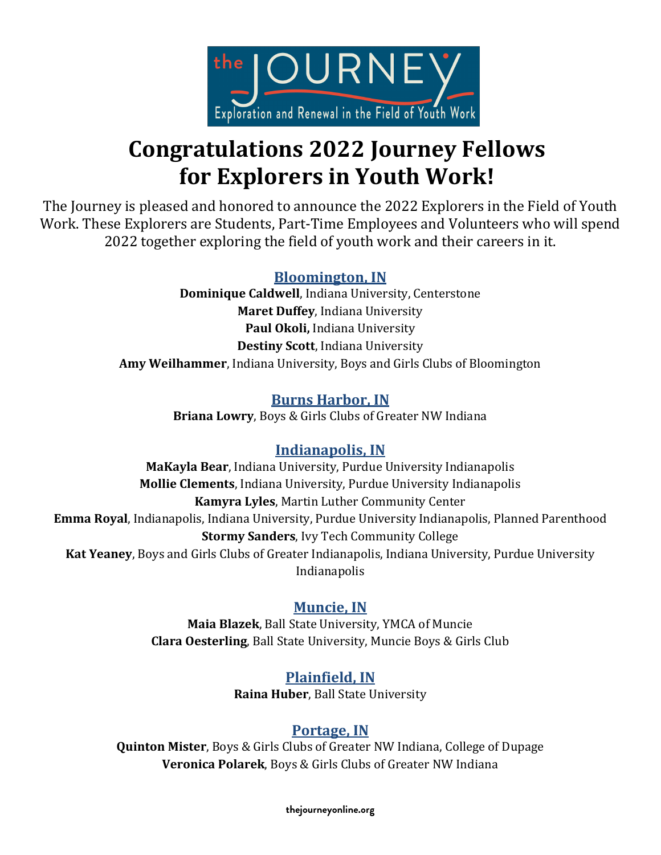

# **Congratulations 2022 Journey Fellows for Explorers in Youth Work!**

The Journey is pleased and honored to announce the 2022 Explorers in the Field of Youth Work. These Explorers are Students, Part-Time Employees and Volunteers who will spend 2022 together exploring the field of youth work and their careers in it.

#### **Bloomington, IN**

**Dominique Caldwell**, Indiana University, Centerstone **Maret Duffey**, Indiana University **Paul Okoli,** Indiana University **Destiny Scott**, Indiana University **Amy Weilhammer**, Indiana University, Boys and Girls Clubs of Bloomington

#### **Burns Harbor, IN**

**Briana Lowry**, Boys & Girls Clubs of Greater NW Indiana

#### **Indianapolis, IN**

**MaKayla Bear**, Indiana University, Purdue University Indianapolis **Mollie Clements**, Indiana University, Purdue University Indianapolis **Kamyra Lyles**, Martin Luther Community Center **Emma Royal**, Indianapolis, Indiana University, Purdue University Indianapolis, Planned Parenthood **Stormy Sanders**, Ivy Tech Community College **Kat Yeaney**, Boys and Girls Clubs of Greater Indianapolis, Indiana University, Purdue University Indianapolis

#### **Muncie, IN**

**Maia Blazek**, Ball State University, YMCA of Muncie **Clara Oesterling**, Ball State University, Muncie Boys & Girls Club

#### **Plainfield, IN**

**Raina Huber**, Ball State University

#### **Portage, IN**

**Quinton Mister**, Boys & Girls Clubs of Greater NW Indiana, College of Dupage **Veronica Polarek**, Boys & Girls Clubs of Greater NW Indiana